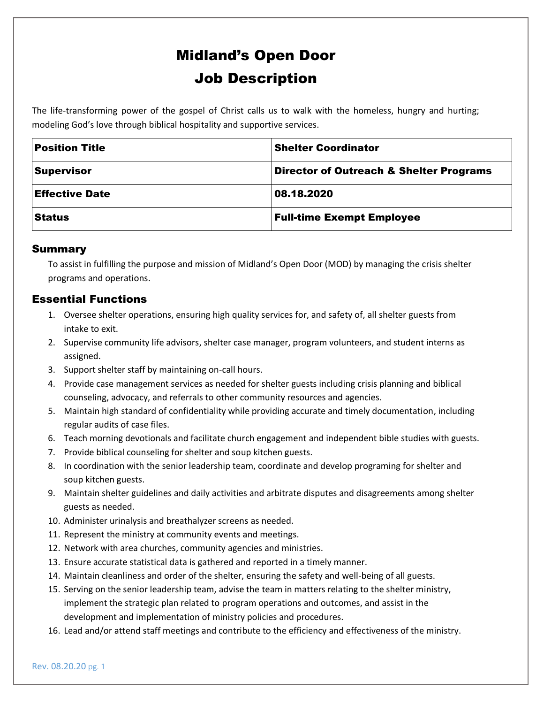# Midland's Open Door Job Description

The life-transforming power of the gospel of Christ calls us to walk with the homeless, hungry and hurting; modeling God's love through biblical hospitality and supportive services.

| <b>Position Title</b> | <b>Shelter Coordinator</b>              |
|-----------------------|-----------------------------------------|
| <b>Supervisor</b>     | Director of Outreach & Shelter Programs |
| <b>Effective Date</b> | 08.18.2020                              |
| <b>Status</b>         | <b>Full-time Exempt Employee</b>        |

#### Summary

To assist in fulfilling the purpose and mission of Midland's Open Door (MOD) by managing the crisis shelter programs and operations.

## Essential Functions

- 1. Oversee shelter operations, ensuring high quality services for, and safety of, all shelter guests from intake to exit.
- 2. Supervise community life advisors, shelter case manager, program volunteers, and student interns as assigned.
- 3. Support shelter staff by maintaining on-call hours.
- 4. Provide case management services as needed for shelter guests including crisis planning and biblical counseling, advocacy, and referrals to other community resources and agencies.
- 5. Maintain high standard of confidentiality while providing accurate and timely documentation, including regular audits of case files.
- 6. Teach morning devotionals and facilitate church engagement and independent bible studies with guests.
- 7. Provide biblical counseling for shelter and soup kitchen guests.
- 8. In coordination with the senior leadership team, coordinate and develop programing for shelter and soup kitchen guests.
- 9. Maintain shelter guidelines and daily activities and arbitrate disputes and disagreements among shelter guests as needed.
- 10. Administer urinalysis and breathalyzer screens as needed.
- 11. Represent the ministry at community events and meetings.
- 12. Network with area churches, community agencies and ministries.
- 13. Ensure accurate statistical data is gathered and reported in a timely manner.
- 14. Maintain cleanliness and order of the shelter, ensuring the safety and well-being of all guests.
- 15. Serving on the senior leadership team, advise the team in matters relating to the shelter ministry, implement the strategic plan related to program operations and outcomes, and assist in the development and implementation of ministry policies and procedures.
- 16. Lead and/or attend staff meetings and contribute to the efficiency and effectiveness of the ministry.